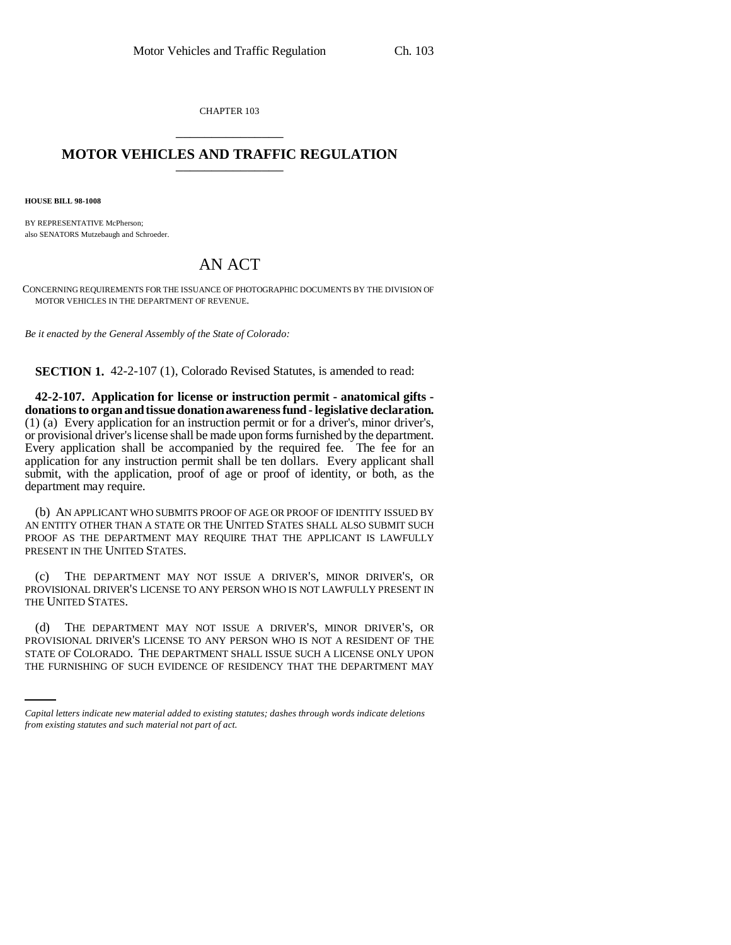CHAPTER 103 \_\_\_\_\_\_\_\_\_\_\_\_\_\_\_

## **MOTOR VEHICLES AND TRAFFIC REGULATION**

**HOUSE BILL 98-1008**

BY REPRESENTATIVE McPherson: also SENATORS Mutzebaugh and Schroeder.

## AN ACT

CONCERNING REQUIREMENTS FOR THE ISSUANCE OF PHOTOGRAPHIC DOCUMENTS BY THE DIVISION OF MOTOR VEHICLES IN THE DEPARTMENT OF REVENUE.

*Be it enacted by the General Assembly of the State of Colorado:*

**SECTION 1.** 42-2-107 (1), Colorado Revised Statutes, is amended to read:

**42-2-107. Application for license or instruction permit - anatomical gifts donations to organ and tissue donation awareness fund - legislative declaration.** (1) (a) Every application for an instruction permit or for a driver's, minor driver's, or provisional driver's license shall be made upon forms furnished by the department. Every application shall be accompanied by the required fee. The fee for an application for any instruction permit shall be ten dollars. Every applicant shall submit, with the application, proof of age or proof of identity, or both, as the department may require.

(b) AN APPLICANT WHO SUBMITS PROOF OF AGE OR PROOF OF IDENTITY ISSUED BY AN ENTITY OTHER THAN A STATE OR THE UNITED STATES SHALL ALSO SUBMIT SUCH PROOF AS THE DEPARTMENT MAY REQUIRE THAT THE APPLICANT IS LAWFULLY PRESENT IN THE UNITED STATES.

(c) THE DEPARTMENT MAY NOT ISSUE A DRIVER'S, MINOR DRIVER'S, OR PROVISIONAL DRIVER'S LICENSE TO ANY PERSON WHO IS NOT LAWFULLY PRESENT IN THE UNITED STATES.

PROVISIONAL DRIVER'S LICENSE TO ANY PERSON WHO IS NOT A RESIDENT OF THE (d) THE DEPARTMENT MAY NOT ISSUE A DRIVER'S, MINOR DRIVER'S, OR STATE OF COLORADO. THE DEPARTMENT SHALL ISSUE SUCH A LICENSE ONLY UPON THE FURNISHING OF SUCH EVIDENCE OF RESIDENCY THAT THE DEPARTMENT MAY

*Capital letters indicate new material added to existing statutes; dashes through words indicate deletions from existing statutes and such material not part of act.*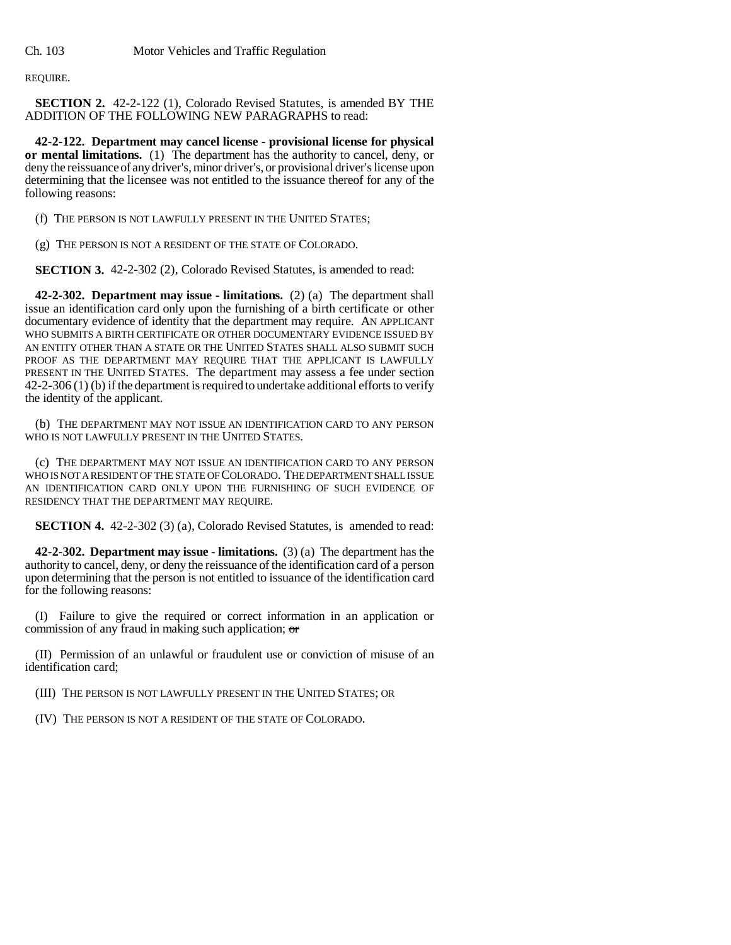REQUIRE.

**SECTION 2.** 42-2-122 (1), Colorado Revised Statutes, is amended BY THE ADDITION OF THE FOLLOWING NEW PARAGRAPHS to read:

**42-2-122. Department may cancel license - provisional license for physical or mental limitations.** (1) The department has the authority to cancel, deny, or deny the reissuance of any driver's, minor driver's, or provisional driver's license upon determining that the licensee was not entitled to the issuance thereof for any of the following reasons:

(f) THE PERSON IS NOT LAWFULLY PRESENT IN THE UNITED STATES;

(g) THE PERSON IS NOT A RESIDENT OF THE STATE OF COLORADO.

**SECTION 3.** 42-2-302 (2), Colorado Revised Statutes, is amended to read:

**42-2-302. Department may issue - limitations.** (2) (a) The department shall issue an identification card only upon the furnishing of a birth certificate or other documentary evidence of identity that the department may require. AN APPLICANT WHO SUBMITS A BIRTH CERTIFICATE OR OTHER DOCUMENTARY EVIDENCE ISSUED BY AN ENTITY OTHER THAN A STATE OR THE UNITED STATES SHALL ALSO SUBMIT SUCH PROOF AS THE DEPARTMENT MAY REQUIRE THAT THE APPLICANT IS LAWFULLY PRESENT IN THE UNITED STATES. The department may assess a fee under section 42-2-306 (1) (b) if the department is required to undertake additional efforts to verify the identity of the applicant.

(b) THE DEPARTMENT MAY NOT ISSUE AN IDENTIFICATION CARD TO ANY PERSON WHO IS NOT LAWFULLY PRESENT IN THE UNITED STATES.

(c) THE DEPARTMENT MAY NOT ISSUE AN IDENTIFICATION CARD TO ANY PERSON WHO IS NOT A RESIDENT OF THE STATE OF COLORADO. THE DEPARTMENT SHALL ISSUE AN IDENTIFICATION CARD ONLY UPON THE FURNISHING OF SUCH EVIDENCE OF RESIDENCY THAT THE DEPARTMENT MAY REQUIRE.

**SECTION 4.** 42-2-302 (3) (a), Colorado Revised Statutes, is amended to read:

**42-2-302. Department may issue - limitations.** (3) (a) The department has the authority to cancel, deny, or deny the reissuance of the identification card of a person upon determining that the person is not entitled to issuance of the identification card for the following reasons:

(I) Failure to give the required or correct information in an application or commission of any fraud in making such application; or

(II) Permission of an unlawful or fraudulent use or conviction of misuse of an identification card;

(III) THE PERSON IS NOT LAWFULLY PRESENT IN THE UNITED STATES; OR

(IV) THE PERSON IS NOT A RESIDENT OF THE STATE OF COLORADO.